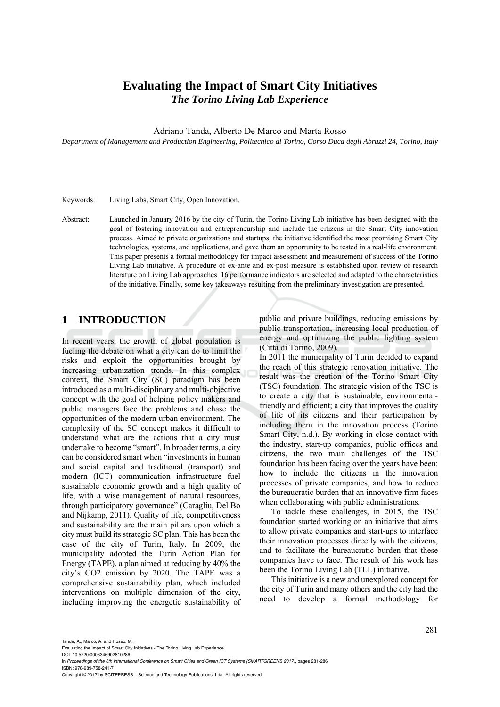# **Evaluating the Impact of Smart City Initiatives**  *The Torino Living Lab Experience*

Adriano Tanda, Alberto De Marco and Marta Rosso

*Department of Management and Production Engineering, Politecnico di Torino, Corso Duca degli Abruzzi 24, Torino, Italy* 

Keywords: Living Labs, Smart City, Open Innovation.

Abstract: Launched in January 2016 by the city of Turin, the Torino Living Lab initiative has been designed with the goal of fostering innovation and entrepreneurship and include the citizens in the Smart City innovation process. Aimed to private organizations and startups, the initiative identified the most promising Smart City technologies, systems, and applications, and gave them an opportunity to be tested in a real-life environment. This paper presents a formal methodology for impact assessment and measurement of success of the Torino Living Lab initiative. A procedure of ex-ante and ex-post measure is established upon review of research literature on Living Lab approaches. 16 performance indicators are selected and adapted to the characteristics of the initiative. Finally, some key takeaways resulting from the preliminary investigation are presented.

### **1 INTRODUCTION**

In recent years, the growth of global population is fueling the debate on what a city can do to limit the risks and exploit the opportunities brought by increasing urbanization trends. In this complex context, the Smart City (SC) paradigm has been introduced as a multi-disciplinary and multi-objective concept with the goal of helping policy makers and public managers face the problems and chase the opportunities of the modern urban environment. The complexity of the SC concept makes it difficult to understand what are the actions that a city must undertake to become "smart". In broader terms, a city can be considered smart when "investments in human and social capital and traditional (transport) and modern (ICT) communication infrastructure fuel sustainable economic growth and a high quality of life, with a wise management of natural resources, through participatory governance" (Caragliu, Del Bo and Nijkamp, 2011). Quality of life, competitiveness and sustainability are the main pillars upon which a city must build its strategic SC plan. This has been the case of the city of Turin, Italy. In 2009, the municipality adopted the Turin Action Plan for Energy (TAPE), a plan aimed at reducing by 40% the city's CO2 emission by 2020. The TAPE was a comprehensive sustainability plan, which included interventions on multiple dimension of the city, including improving the energetic sustainability of public and private buildings, reducing emissions by public transportation, increasing local production of energy and optimizing the public lighting system (Città di Torino, 2009).

In 2011 the municipality of Turin decided to expand the reach of this strategic renovation initiative. The result was the creation of the Torino Smart City (TSC) foundation. The strategic vision of the TSC is to create a city that is sustainable, environmentalfriendly and efficient; a city that improves the quality of life of its citizens and their participation by including them in the innovation process (Torino Smart City, n.d.). By working in close contact with the industry, start-up companies, public offices and citizens, the two main challenges of the TSC foundation has been facing over the years have been: how to include the citizens in the innovation processes of private companies, and how to reduce the bureaucratic burden that an innovative firm faces when collaborating with public administrations.

To tackle these challenges, in 2015, the TSC foundation started working on an initiative that aims to allow private companies and start-ups to interface their innovation processes directly with the citizens, and to facilitate the bureaucratic burden that these companies have to face. The result of this work has been the Torino Living Lab (TLL) initiative.

This initiative is a new and unexplored concept for the city of Turin and many others and the city had the need to develop a formal methodology for

DOI: 10.5220/0006346902810286 In *Proceedings of the 6th International Conference on Smart Cities and Green ICT Systems (SMARTGREENS 2017)*, pages 281-286 ISBN: 978-989-758-241-7

Copyright © 2017 by SCITEPRESS – Science and Technology Publications, Lda. All rights reserved

Evaluating the Impact of Smart City Initiatives - The Torino Living Lab Experience.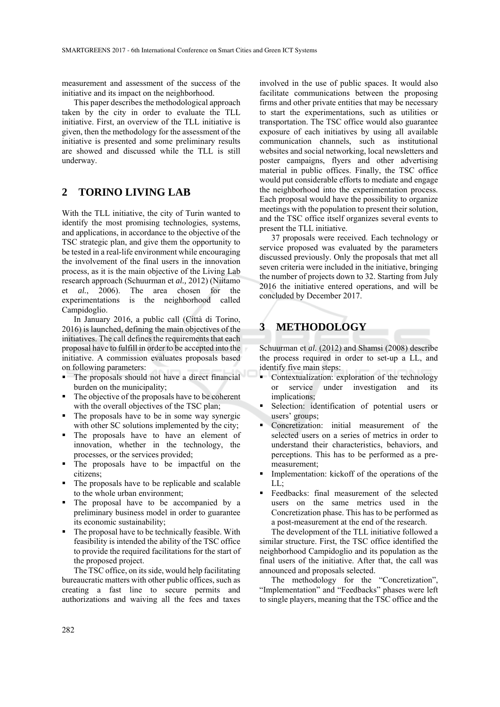measurement and assessment of the success of the initiative and its impact on the neighborhood.

This paper describes the methodological approach taken by the city in order to evaluate the TLL initiative. First, an overview of the TLL initiative is given, then the methodology for the assessment of the initiative is presented and some preliminary results are showed and discussed while the TLL is still underway.

## **2 TORINO LIVING LAB**

With the TLL initiative, the city of Turin wanted to identify the most promising technologies, systems, and applications, in accordance to the objective of the TSC strategic plan, and give them the opportunity to be tested in a real-life environment while encouraging the involvement of the final users in the innovation process, as it is the main objective of the Living Lab research approach (Schuurman et *al.,* 2012) (Niitamo et *al.*, 2006). The area chosen for the experimentations is the neighborhood called Campidoglio.

In January 2016, a public call (Città di Torino, 2016) is launched, defining the main objectives of the initiatives. The call defines the requirements that each proposal have to fulfill in order to be accepted into the initiative. A commission evaluates proposals based on following parameters:

- The proposals should not have a direct financial burden on the municipality;
- The objective of the proposals have to be coherent with the overall objectives of the TSC plan;
- The proposals have to be in some way synergic with other SC solutions implemented by the city;
- The proposals have to have an element of innovation, whether in the technology, the processes, or the services provided;
- The proposals have to be impactful on the citizens;
- The proposals have to be replicable and scalable to the whole urban environment;
- The proposal have to be accompanied by a preliminary business model in order to guarantee its economic sustainability;
- The proposal have to be technically feasible. With feasibility is intended the ability of the TSC office to provide the required facilitations for the start of the proposed project.

The TSC office, on its side, would help facilitating bureaucratic matters with other public offices, such as creating a fast line to secure permits and authorizations and waiving all the fees and taxes

involved in the use of public spaces. It would also facilitate communications between the proposing firms and other private entities that may be necessary to start the experimentations, such as utilities or transportation. The TSC office would also guarantee exposure of each initiatives by using all available communication channels, such as institutional websites and social networking, local newsletters and poster campaigns, flyers and other advertising material in public offices. Finally, the TSC office would put considerable efforts to mediate and engage the neighborhood into the experimentation process. Each proposal would have the possibility to organize meetings with the population to present their solution, and the TSC office itself organizes several events to present the TLL initiative.

37 proposals were received. Each technology or service proposed was evaluated by the parameters discussed previously. Only the proposals that met all seven criteria were included in the initiative, bringing the number of projects down to 32. Starting from July 2016 the initiative entered operations, and will be concluded by December 2017.

# **3 METHODOLOGY**

Schuurman et *al.* (2012) and Shamsi (2008) describe the process required in order to set-up a LL, and identify five main steps:

- Contextualization: exploration of the technology or service under investigation and its implications;
- Selection: identification of potential users or users' groups;
- Concretization: initial measurement of the selected users on a series of metrics in order to understand their characteristics, behaviors, and perceptions. This has to be performed as a premeasurement;
- **Implementation:** kickoff of the operations of the  $LL:$
- Feedbacks: final measurement of the selected users on the same metrics used in the Concretization phase. This has to be performed as a post-measurement at the end of the research.

The development of the TLL initiative followed a similar structure. First, the TSC office identified the neighborhood Campidoglio and its population as the final users of the initiative. After that, the call was announced and proposals selected.

The methodology for the "Concretization", "Implementation" and "Feedbacks" phases were left to single players, meaning that the TSC office and the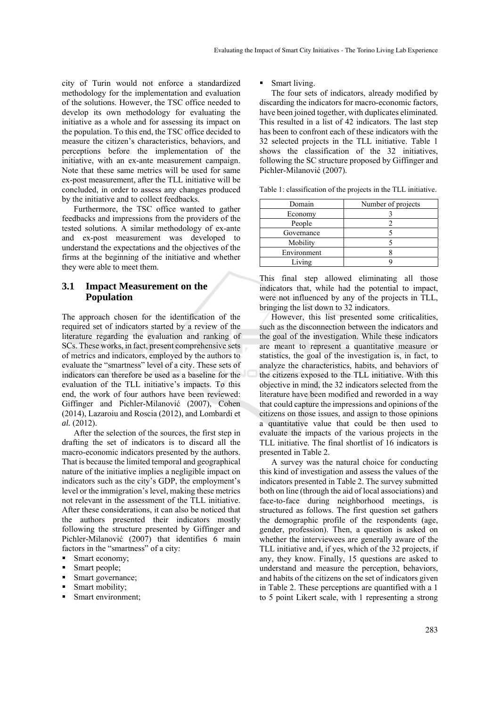city of Turin would not enforce a standardized methodology for the implementation and evaluation of the solutions. However, the TSC office needed to develop its own methodology for evaluating the initiative as a whole and for assessing its impact on the population. To this end, the TSC office decided to measure the citizen's characteristics, behaviors, and perceptions before the implementation of the initiative, with an ex-ante measurement campaign. Note that these same metrics will be used for same ex-post measurement, after the TLL initiative will be concluded, in order to assess any changes produced by the initiative and to collect feedbacks.

Furthermore, the TSC office wanted to gather feedbacks and impressions from the providers of the tested solutions. A similar methodology of ex-ante and ex-post measurement was developed to understand the expectations and the objectives of the firms at the beginning of the initiative and whether they were able to meet them.

### **3.1 Impact Measurement on the Population**

The approach chosen for the identification of the required set of indicators started by a review of the literature regarding the evaluation and ranking of SCs. These works, in fact, present comprehensive sets of metrics and indicators, employed by the authors to evaluate the "smartness" level of a city. These sets of indicators can therefore be used as a baseline for the evaluation of the TLL initiative's impacts. To this end, the work of four authors have been reviewed: Giffinger and Pichler-Milanović (2007), Cohen (2014), Lazaroiu and Roscia (2012), and Lombardi et *al.* (2012).

After the selection of the sources, the first step in drafting the set of indicators is to discard all the macro-economic indicators presented by the authors. That is because the limited temporal and geographical nature of the initiative implies a negligible impact on indicators such as the city's GDP, the employment's level or the immigration's level, making these metrics not relevant in the assessment of the TLL initiative. After these considerations, it can also be noticed that the authors presented their indicators mostly following the structure presented by Giffinger and Pichler-Milanović (2007) that identifies 6 main factors in the "smartness" of a city:

- Smart economy;
- Smart people;
- Smart governance;
- Smart mobility;
- Smart environment;

#### Smart living.

The four sets of indicators, already modified by discarding the indicators for macro-economic factors, have been joined together, with duplicates eliminated. This resulted in a list of 42 indicators. The last step has been to confront each of these indicators with the 32 selected projects in the TLL initiative. Table 1 shows the classification of the 32 initiatives, following the SC structure proposed by Giffinger and Pichler-Milanović (2007).

Table 1: classification of the projects in the TLL initiative.

| Domain      | Number of projects |  |
|-------------|--------------------|--|
| Economy     |                    |  |
| People      |                    |  |
| Governance  |                    |  |
| Mobility    |                    |  |
| Environment |                    |  |
| Living      |                    |  |

This final step allowed eliminating all those indicators that, while had the potential to impact, were not influenced by any of the projects in TLL, bringing the list down to 32 indicators.

However, this list presented some criticalities, such as the disconnection between the indicators and the goal of the investigation. While these indicators are meant to represent a quantitative measure or statistics, the goal of the investigation is, in fact, to analyze the characteristics, habits, and behaviors of the citizens exposed to the TLL initiative. With this objective in mind, the 32 indicators selected from the literature have been modified and reworded in a way that could capture the impressions and opinions of the citizens on those issues, and assign to those opinions a quantitative value that could be then used to evaluate the impacts of the various projects in the TLL initiative. The final shortlist of 16 indicators is presented in Table 2.

A survey was the natural choice for conducting this kind of investigation and assess the values of the indicators presented in Table 2. The survey submitted both on line (through the aid of local associations) and face-to-face during neighborhood meetings, is structured as follows. The first question set gathers the demographic profile of the respondents (age, gender, profession). Then, a question is asked on whether the interviewees are generally aware of the TLL initiative and, if yes, which of the 32 projects, if any, they know. Finally, 15 questions are asked to understand and measure the perception, behaviors, and habits of the citizens on the set of indicators given in Table 2. These perceptions are quantified with a 1 to 5 point Likert scale, with 1 representing a strong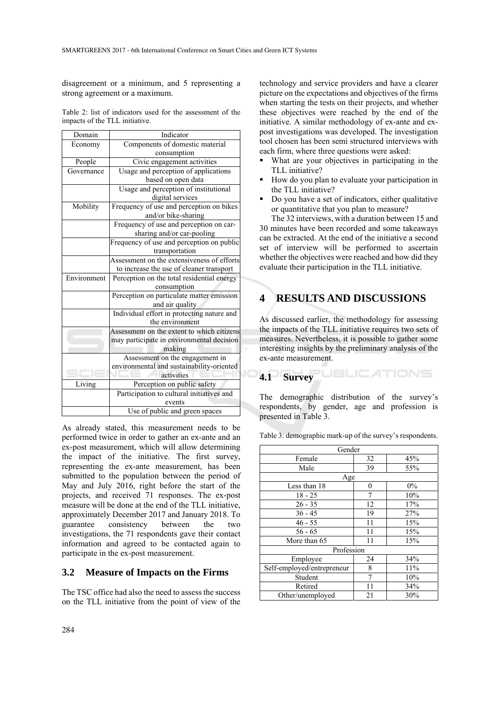disagreement or a minimum, and 5 representing a strong agreement or a maximum.

Table 2: list of indicators used for the assessment of the impacts of the TLL initiative.

| Domain      | Indicator                                  |  |  |
|-------------|--------------------------------------------|--|--|
| Economy     | Components of domestic material            |  |  |
|             | consumption                                |  |  |
| People      | Civic engagement activities                |  |  |
| Governance  | Usage and perception of applications       |  |  |
|             | based on open data                         |  |  |
|             | Usage and perception of institutional      |  |  |
|             | digital services                           |  |  |
| Mobility    | Frequency of use and perception on bikes   |  |  |
|             | and/or bike-sharing                        |  |  |
|             | Frequency of use and perception on car-    |  |  |
|             | sharing and/or car-pooling                 |  |  |
|             | Frequency of use and perception on public  |  |  |
|             | transportation                             |  |  |
|             | Assessment on the extensiveness of efforts |  |  |
|             | to increase the use of cleaner transport   |  |  |
| Environment | Perception on the total residential energy |  |  |
|             | consumption                                |  |  |
|             | Perception on particulate matter emission  |  |  |
|             | and air quality                            |  |  |
|             | Individual effort in protecting nature and |  |  |
|             | the environment                            |  |  |
|             | Assessment on the extent to which citizens |  |  |
|             | may participate in environmental decision  |  |  |
|             | making                                     |  |  |
|             | Assessment on the engagement in            |  |  |
|             | environmental and sustainability-oriented  |  |  |
|             | activities                                 |  |  |
| Living      | Perception on public safety                |  |  |
|             | Participation to cultural initiatives and  |  |  |
|             | events                                     |  |  |
|             | Use of public and green spaces             |  |  |

As already stated, this measurement needs to be performed twice in order to gather an ex-ante and an ex-post measurement, which will allow determining the impact of the initiative. The first survey, representing the ex-ante measurement, has been submitted to the population between the period of May and July 2016, right before the start of the projects, and received 71 responses. The ex-post measure will be done at the end of the TLL initiative, approximately December 2017 and January 2018. To guarantee consistency between the two investigations, the 71 respondents gave their contact information and agreed to be contacted again to participate in the ex-post measurement.

### **3.2 Measure of Impacts on the Firms**

The TSC office had also the need to assess the success on the TLL initiative from the point of view of the

technology and service providers and have a clearer picture on the expectations and objectives of the firms when starting the tests on their projects, and whether these objectives were reached by the end of the initiative. A similar methodology of ex-ante and expost investigations was developed. The investigation tool chosen has been semi structured interviews with each firm, where three questions were asked:

- What are your objectives in participating in the TLL initiative?
- How do you plan to evaluate your participation in the TLL initiative?
- Do you have a set of indicators, either qualitative or quantitative that you plan to measure?

The 32 interviews, with a duration between 15 and 30 minutes have been recorded and some takeaways can be extracted. At the end of the initiative a second set of interview will be performed to ascertain whether the objectives were reached and how did they evaluate their participation in the TLL initiative.

# **4 RESULTS AND DISCUSSIONS**

As discussed earlier, the methodology for assessing the impacts of the TLL initiative requires two sets of measures. Nevertheless, it is possible to gather some interesting insights by the preliminary analysis of the ex-ante measurement.

#### **JBLICATIONS 4.1 Survey**

The demographic distribution of the survey's respondents, by gender, age and profession is presented in Table 3.

Table 3: demographic mark-up of the survey's respondents.

| Gender                     |                  |     |  |  |
|----------------------------|------------------|-----|--|--|
| Female                     | 32               | 45% |  |  |
| Male                       | 39               | 55% |  |  |
| Age                        |                  |     |  |  |
| Less than 18               | $\boldsymbol{0}$ | 0%  |  |  |
| $18 - 25$                  | 7                | 10% |  |  |
| $26 - 35$                  | 12               | 17% |  |  |
| $36 - 45$                  | 19               | 27% |  |  |
| $46 - 55$                  | 11               | 15% |  |  |
| $56 - 65$                  | 11               | 15% |  |  |
| More than 65               | 11               | 15% |  |  |
| Profession                 |                  |     |  |  |
| Employee                   | 24               | 34% |  |  |
| Self-employed/entrepreneur | 8                | 11% |  |  |
| Student                    | 7                | 10% |  |  |
| Retired                    | 11               | 34% |  |  |
| Other/unemployed           | 21               | 30% |  |  |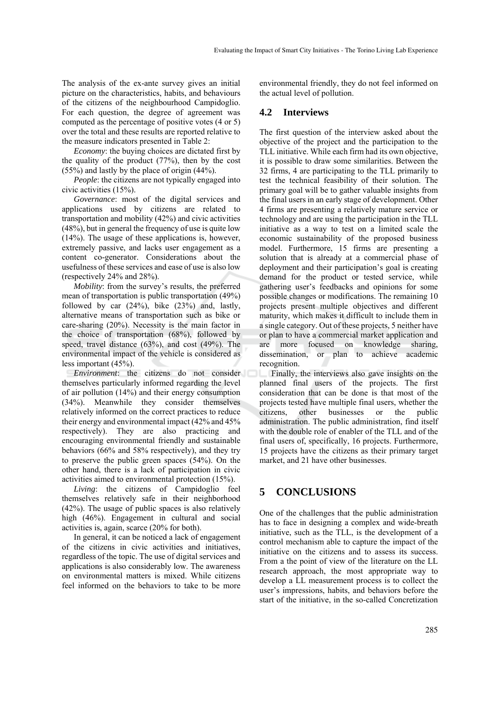The analysis of the ex-ante survey gives an initial picture on the characteristics, habits, and behaviours of the citizens of the neighbourhood Campidoglio. For each question, the degree of agreement was computed as the percentage of positive votes (4 or 5) over the total and these results are reported relative to the measure indicators presented in Table 2:

*Economy*: the buying choices are dictated first by the quality of the product (77%), then by the cost (55%) and lastly by the place of origin (44%).

*People*: the citizens are not typically engaged into civic activities (15%).

*Governance*: most of the digital services and applications used by citizens are related to transportation and mobility (42%) and civic activities (48%), but in general the frequency of use is quite low (14%). The usage of these applications is, however, extremely passive, and lacks user engagement as a content co-generator. Considerations about the usefulness of these services and ease of use is also low (respectively 24% and 28%).

*Mobility*: from the survey's results, the preferred mean of transportation is public transportation (49%) followed by car (24%), bike (23%) and, lastly, alternative means of transportation such as bike or care-sharing (20%). Necessity is the main factor in the choice of transportation (68%), followed by speed, travel distance (63%), and cost (49%). The environmental impact of the vehicle is considered as less important (45%).

*Environment*: the citizens do not consider themselves particularly informed regarding the level of air pollution (14%) and their energy consumption (34%). Meanwhile they consider themselves relatively informed on the correct practices to reduce their energy and environmental impact (42% and 45% respectively). They are also practicing and encouraging environmental friendly and sustainable behaviors (66% and 58% respectively), and they try to preserve the public green spaces (54%). On the other hand, there is a lack of participation in civic activities aimed to environmental protection (15%).

*Living*: the citizens of Campidoglio feel themselves relatively safe in their neighborhood (42%). The usage of public spaces is also relatively high (46%). Engagement in cultural and social activities is, again, scarce (20% for both).

In general, it can be noticed a lack of engagement of the citizens in civic activities and initiatives, regardless of the topic. The use of digital services and applications is also considerably low. The awareness on environmental matters is mixed. While citizens feel informed on the behaviors to take to be more environmental friendly, they do not feel informed on the actual level of pollution.

#### **4.2 Interviews**

The first question of the interview asked about the objective of the project and the participation to the TLL initiative. While each firm had its own objective, it is possible to draw some similarities. Between the 32 firms, 4 are participating to the TLL primarily to test the technical feasibility of their solution. The primary goal will be to gather valuable insights from the final users in an early stage of development. Other 4 firms are presenting a relatively mature service or technology and are using the participation in the TLL initiative as a way to test on a limited scale the economic sustainability of the proposed business model. Furthermore, 15 firms are presenting a solution that is already at a commercial phase of deployment and their participation's goal is creating demand for the product or tested service, while gathering user's feedbacks and opinions for some possible changes or modifications. The remaining 10 projects present multiple objectives and different maturity, which makes it difficult to include them in a single category. Out of these projects, 5 neither have or plan to have a commercial market application and are more focused on knowledge sharing, dissemination, or plan to achieve academic recognition.

Finally, the interviews also gave insights on the planned final users of the projects. The first consideration that can be done is that most of the projects tested have multiple final users, whether the citizens, other businesses or the public administration. The public administration, find itself with the double role of enabler of the TLL and of the final users of, specifically, 16 projects. Furthermore, 15 projects have the citizens as their primary target market, and 21 have other businesses.

## **5 CONCLUSIONS**

One of the challenges that the public administration has to face in designing a complex and wide-breath initiative, such as the TLL, is the development of a control mechanism able to capture the impact of the initiative on the citizens and to assess its success. From a the point of view of the literature on the LL research approach, the most appropriate way to develop a LL measurement process is to collect the user's impressions, habits, and behaviors before the start of the initiative, in the so-called Concretization